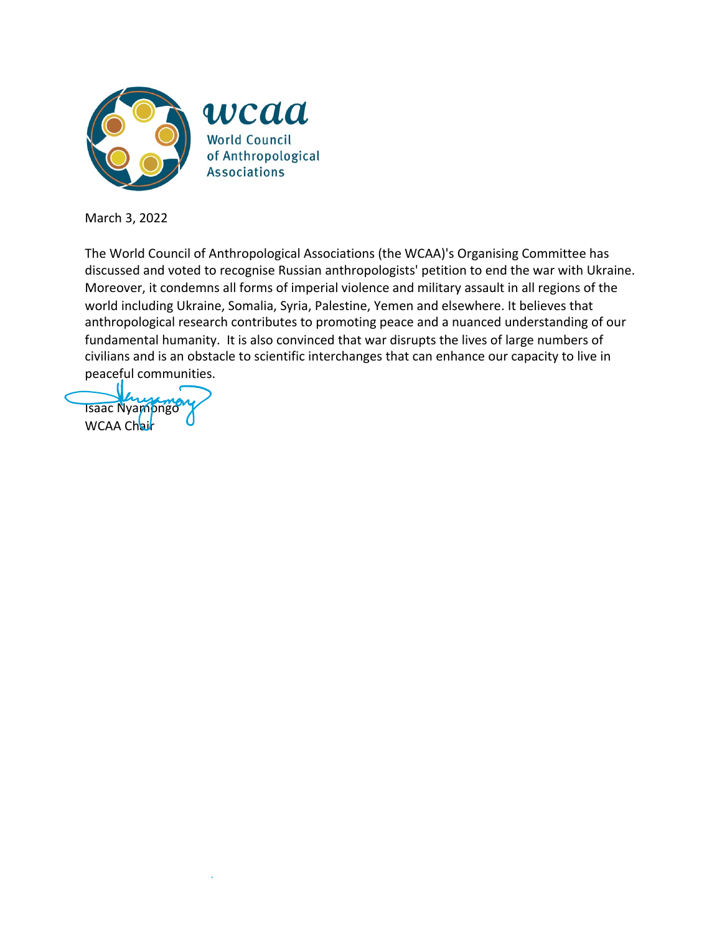

March 3, 2022

The World Council of Anthropological Associations (the WCAA)'s Organising Committee has discussed and voted to recognise Russian anthropologists' petition to end the war with Ukraine. Moreover, it condemns all forms of imperial violence and military assault in all regions of the world including Ukraine, Somalia, Syria, Palestine, Yemen and elsewhere. It believes that anthropological research contributes to promoting peace and a nuanced understanding of our fundamental humanity. It is also convinced that war disrupts the lives of large numbers of civilians and is an obstacle to scientific interchanges that can enhance our capacity to live in peaceful communities.

**Isaac Nyamongo** WCAA Chair